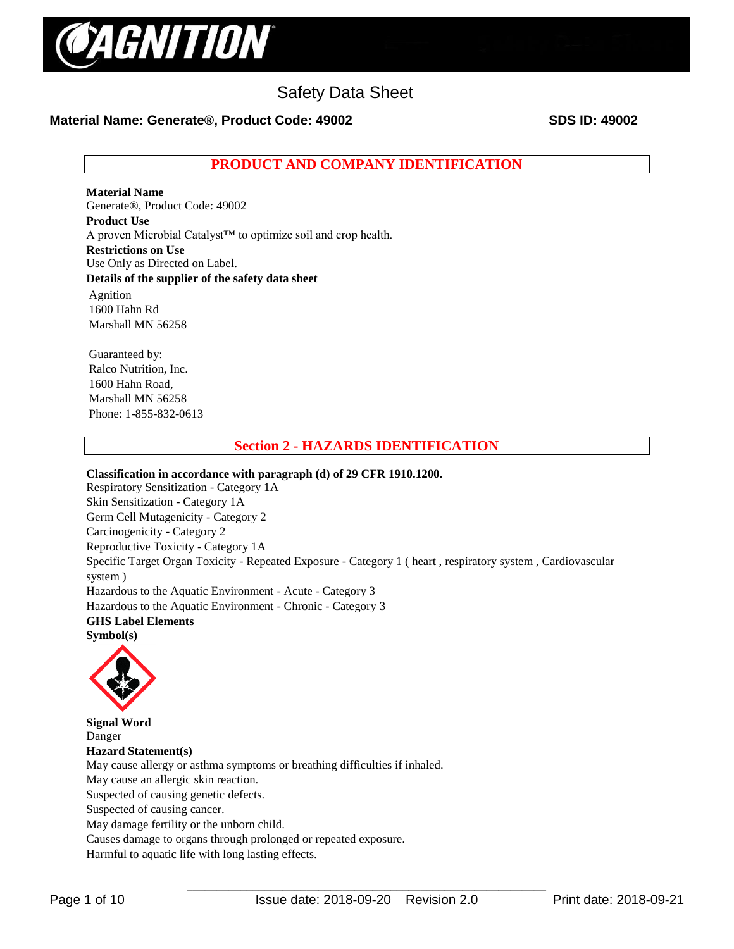

# **Material Name: Generate®, Product Code: 49002 SDS ID: 49002**

**PRODUCT AND COMPANY IDENTIFICATION**

**Material Name**  Generate®, Product Code: 49002 **Product Use** A proven Microbial Catalyst™ to optimize soil and crop health. **Restrictions on Use** Use Only as Directed on Label. **Details of the supplier of the safety data sheet** Agnition 1600 Hahn Rd Marshall MN 56258

Guaranteed by: Ralco Nutrition, Inc. 1600 Hahn Road, Marshall MN 56258 Phone: 1-855-832-0613

# **Section 2 - HAZARDS IDENTIFICATION**

**Classification in accordance with paragraph (d) of 29 CFR 1910.1200.**  Respiratory Sensitization - Category 1A Skin Sensitization - Category 1A Germ Cell Mutagenicity - Category 2 Carcinogenicity - Category 2 Reproductive Toxicity - Category 1A Specific Target Organ Toxicity - Repeated Exposure - Category 1 ( heart , respiratory system , Cardiovascular system ) Hazardous to the Aquatic Environment - Acute - Category 3 Hazardous to the Aquatic Environment - Chronic - Category 3 **GHS Label Elements Symbol(s)** 



**Signal Word**  Danger **Hazard Statement(s)**  May cause allergy or asthma symptoms or breathing difficulties if inhaled. May cause an allergic skin reaction. Suspected of causing genetic defects. Suspected of causing cancer. May damage fertility or the unborn child. Causes damage to organs through prolonged or repeated exposure. Harmful to aquatic life with long lasting effects.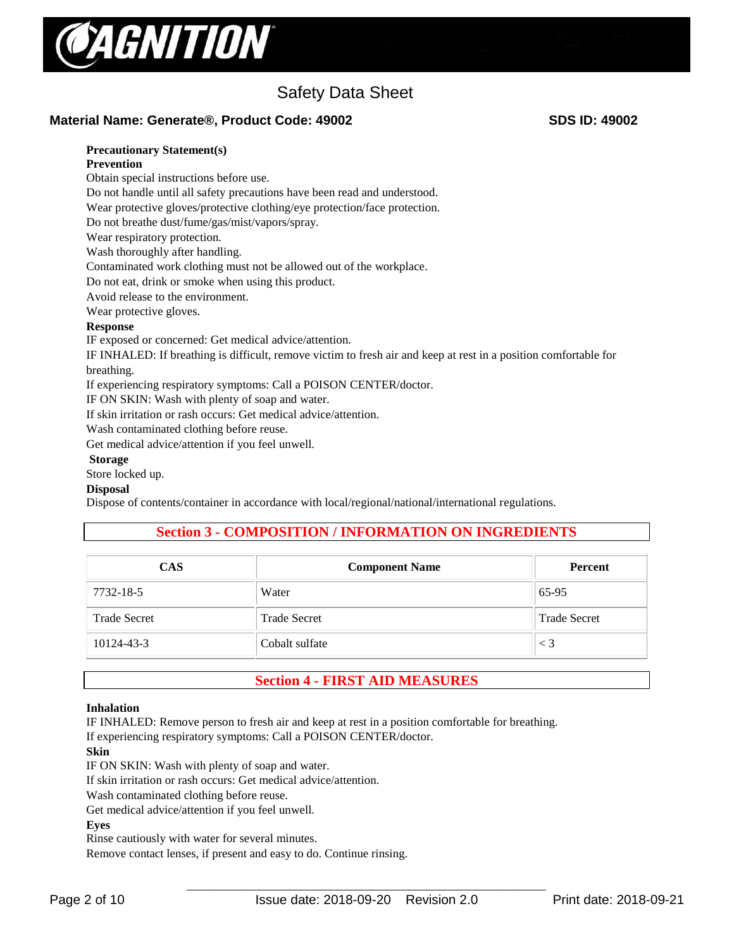

## **Material Name: Generate®, Product Code: 49002 SDS ID: 49002**

# **Precautionary Statement(s)**

#### **Prevention**

Obtain special instructions before use.

Do not handle until all safety precautions have been read and understood.

Wear protective gloves/protective clothing/eye protection/face protection.

Do not breathe dust/fume/gas/mist/vapors/spray.

Wear respiratory protection.

Wash thoroughly after handling.

Contaminated work clothing must not be allowed out of the workplace.

Do not eat, drink or smoke when using this product.

Avoid release to the environment.

Wear protective gloves.

#### **Response**

IF exposed or concerned: Get medical advice/attention.

IF INHALED: If breathing is difficult, remove victim to fresh air and keep at rest in a position comfortable for breathing.

If experiencing respiratory symptoms: Call a POISON CENTER/doctor.

IF ON SKIN: Wash with plenty of soap and water.

If skin irritation or rash occurs: Get medical advice/attention.

Wash contaminated clothing before reuse.

Get medical advice/attention if you feel unwell.

#### **Storage**

Store locked up.

#### **Disposal**

Dispose of contents/container in accordance with local/regional/national/international regulations.

# **Section 3 - COMPOSITION / INFORMATION ON INGREDIENTS**

| <b>CAS</b>          | <b>Component Name</b> | <b>Percent</b>      |
|---------------------|-----------------------|---------------------|
| 7732-18-5           | Water                 | 65-95               |
| <b>Trade Secret</b> | <b>Trade Secret</b>   | <b>Trade Secret</b> |
| 10124-43-3          | Cobalt sulfate        | $\leq 3$            |

# **Section 4 - FIRST AID MEASURES**

#### **Inhalation**

IF INHALED: Remove person to fresh air and keep at rest in a position comfortable for breathing.

If experiencing respiratory symptoms: Call a POISON CENTER/doctor.

#### **Skin**

IF ON SKIN: Wash with plenty of soap and water.

If skin irritation or rash occurs: Get medical advice/attention.

Wash contaminated clothing before reuse.

Get medical advice/attention if you feel unwell.

#### **Eyes**

Rinse cautiously with water for several minutes.

Remove contact lenses, if present and easy to do. Continue rinsing.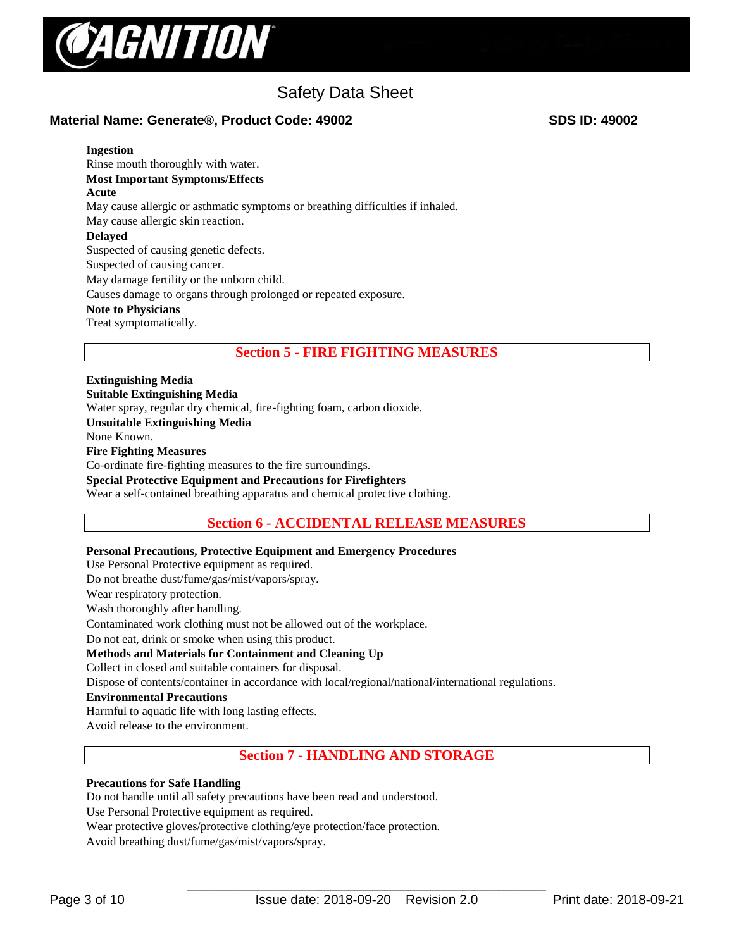

# **Material Name: Generate®, Product Code: 49002 SDS ID: 49002**

#### **Ingestion**

Rinse mouth thoroughly with water. **Most Important Symptoms/Effects Acute**  May cause allergic or asthmatic symptoms or breathing difficulties if inhaled. May cause allergic skin reaction. **Delayed**  Suspected of causing genetic defects. Suspected of causing cancer. May damage fertility or the unborn child. Causes damage to organs through prolonged or repeated exposure. **Note to Physicians**  Treat symptomatically.

# **Section 5 - FIRE FIGHTING MEASURES**

**Extinguishing Media Suitable Extinguishing Media**  Water spray, regular dry chemical, fire-fighting foam, carbon dioxide. **Unsuitable Extinguishing Media** None Known. **Fire Fighting Measures** Co-ordinate fire-fighting measures to the fire surroundings. **Special Protective Equipment and Precautions for Firefighters**  Wear a self-contained breathing apparatus and chemical protective clothing.

# **Section 6 - ACCIDENTAL RELEASE MEASURES**

#### **Personal Precautions, Protective Equipment and Emergency Procedures**

Use Personal Protective equipment as required.

Do not breathe dust/fume/gas/mist/vapors/spray.

Wear respiratory protection.

Wash thoroughly after handling.

Contaminated work clothing must not be allowed out of the workplace.

Do not eat, drink or smoke when using this product.

#### **Methods and Materials for Containment and Cleaning Up**

Collect in closed and suitable containers for disposal.

Dispose of contents/container in accordance with local/regional/national/international regulations.

#### **Environmental Precautions**

Harmful to aquatic life with long lasting effects.

Avoid release to the environment.

**Section 7 - HANDLING AND STORAGE**

#### **Precautions for Safe Handling**

Do not handle until all safety precautions have been read and understood.

Use Personal Protective equipment as required.

Wear protective gloves/protective clothing/eye protection/face protection.

Avoid breathing dust/fume/gas/mist/vapors/spray.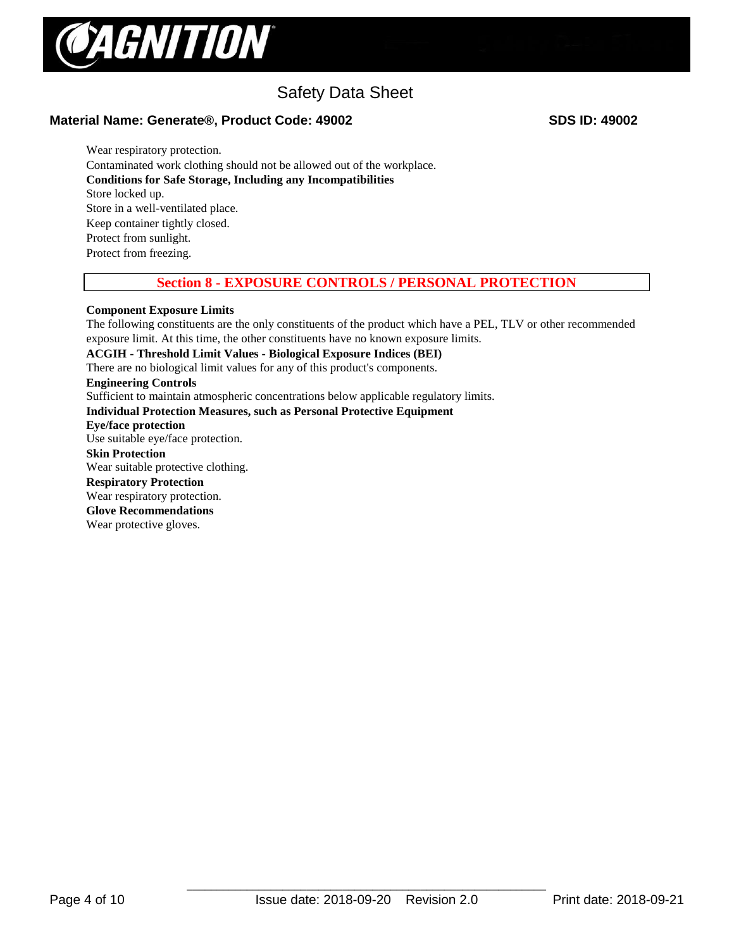

# **Material Name: Generate®, Product Code: 49002 SDS ID: 49002**

Wear respiratory protection. Contaminated work clothing should not be allowed out of the workplace. **Conditions for Safe Storage, Including any Incompatibilities**  Store locked up. Store in a well-ventilated place. Keep container tightly closed. Protect from sunlight. Protect from freezing.

# **Section 8 - EXPOSURE CONTROLS / PERSONAL PROTECTION**

## **Component Exposure Limits**

The following constituents are the only constituents of the product which have a PEL, TLV or other recommended exposure limit. At this time, the other constituents have no known exposure limits.

**ACGIH - Threshold Limit Values - Biological Exposure Indices (BEI)** 

There are no biological limit values for any of this product's components.

**Engineering Controls**

Sufficient to maintain atmospheric concentrations below applicable regulatory limits.

#### **Individual Protection Measures, such as Personal Protective Equipment**

**Eye/face protection** 

Use suitable eye/face protection.

**Skin Protection**  Wear suitable protective clothing. **Respiratory Protection**

Wear respiratory protection.

#### **Glove Recommendations**

Wear protective gloves.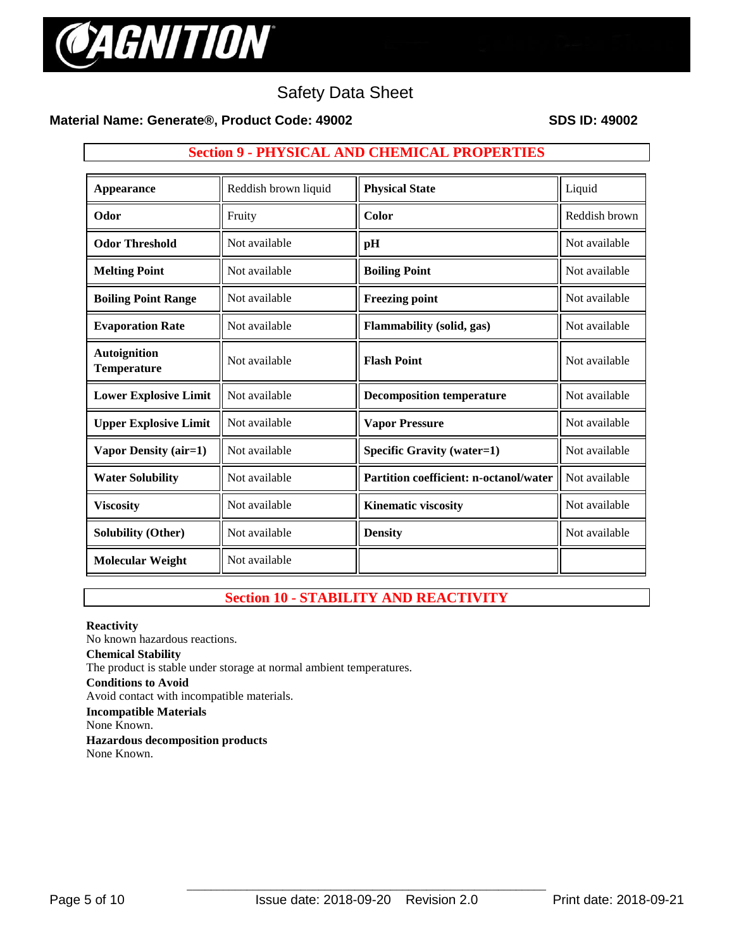

# **Material Name: Generate®, Product Code: 49002 SDS ID: 49002**

# **Section 9 - PHYSICAL AND CHEMICAL PROPERTIES**

| <b>Appearance</b>                         | Reddish brown liquid | <b>Physical State</b>                         | Liquid        |
|-------------------------------------------|----------------------|-----------------------------------------------|---------------|
| Odor                                      | Fruity               | Color                                         | Reddish brown |
| <b>Odor Threshold</b>                     | Not available        | pH                                            | Not available |
| <b>Melting Point</b>                      | Not available        | <b>Boiling Point</b>                          | Not available |
| <b>Boiling Point Range</b>                | Not available        | <b>Freezing point</b>                         | Not available |
| <b>Evaporation Rate</b>                   | Not available        | <b>Flammability</b> (solid, gas)              | Not available |
| <b>Autoignition</b><br><b>Temperature</b> | Not available        | <b>Flash Point</b>                            | Not available |
| <b>Lower Explosive Limit</b>              | Not available        | <b>Decomposition temperature</b>              | Not available |
| <b>Upper Explosive Limit</b>              | Not available        | <b>Vapor Pressure</b>                         | Not available |
| <b>Vapor Density (air=1)</b>              | Not available        | <b>Specific Gravity (water=1)</b>             | Not available |
| <b>Water Solubility</b>                   | Not available        | <b>Partition coefficient: n-octanol/water</b> | Not available |
| <b>Viscosity</b>                          | Not available        | <b>Kinematic viscosity</b>                    | Not available |
| <b>Solubility (Other)</b>                 | Not available        | <b>Density</b>                                | Not available |
| <b>Molecular Weight</b>                   | Not available        |                                               |               |

# **Section 10 - STABILITY AND REACTIVITY**

#### **Reactivity**  No known hazardous reactions. **Chemical Stability** The product is stable under storage at normal ambient temperatures. **Conditions to Avoid** Avoid contact with incompatible materials. **Incompatible Materials** None Known. **Hazardous decomposition products**  None Known.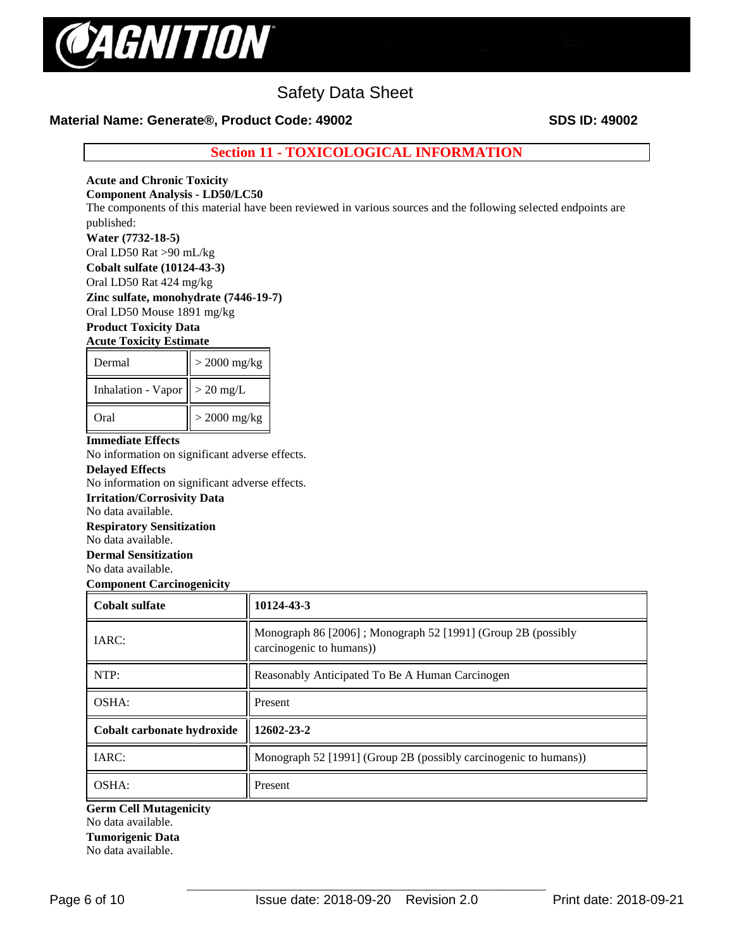

# **Material Name: Generate®, Product Code: 49002 SDS ID: 49002**

**Section 11 - TOXICOLOGICAL INFORMATION**

# **Acute and Chronic Toxicity**

#### **Component Analysis - LD50/LC50**

The components of this material have been reviewed in various sources and the following selected endpoints are published:

#### **Water (7732-18-5)**

Oral LD50 Rat >90 mL/kg

**Cobalt sulfate (10124-43-3)**

Oral LD50 Rat 424 mg/kg

**Zinc sulfate, monohydrate (7446-19-7)**

Oral LD50 Mouse 1891 mg/kg

# **Product Toxicity Data**

## **Acute Toxicity Estimate**

| Dermal             | $>$ 2000 mg/kg |  |  |  |
|--------------------|----------------|--|--|--|
| Inhalation - Vapor | $> 20$ mg/L    |  |  |  |
| Oral               | $>$ 2000 mg/kg |  |  |  |

## **Immediate Effects**

No information on significant adverse effects.

## **Delayed Effects**

No information on significant adverse effects.

# **Irritation/Corrosivity Data**

No data available.

# **Respiratory Sensitization**

No data available.

# **Dermal Sensitization**

No data available.

**Component Carcinogenicity** 

| <b>Cobalt sulfate</b>      | 10124-43-3                                                                               |  |  |  |  |
|----------------------------|------------------------------------------------------------------------------------------|--|--|--|--|
| IARC:                      | Monograph 86 [2006]; Monograph 52 [1991] (Group 2B (possibly<br>carcinogenic to humans)) |  |  |  |  |
| NTP:                       | Reasonably Anticipated To Be A Human Carcinogen                                          |  |  |  |  |
| OSHA:                      | Present                                                                                  |  |  |  |  |
| Cobalt carbonate hydroxide | 12602-23-2                                                                               |  |  |  |  |
| IARC:                      | Monograph 52 [1991] (Group 2B (possibly carcinogenic to humans))                         |  |  |  |  |
| OSHA:                      | Present                                                                                  |  |  |  |  |

#### **Germ Cell Mutagenicity**  No data available.

#### **Tumorigenic Data**

No data available.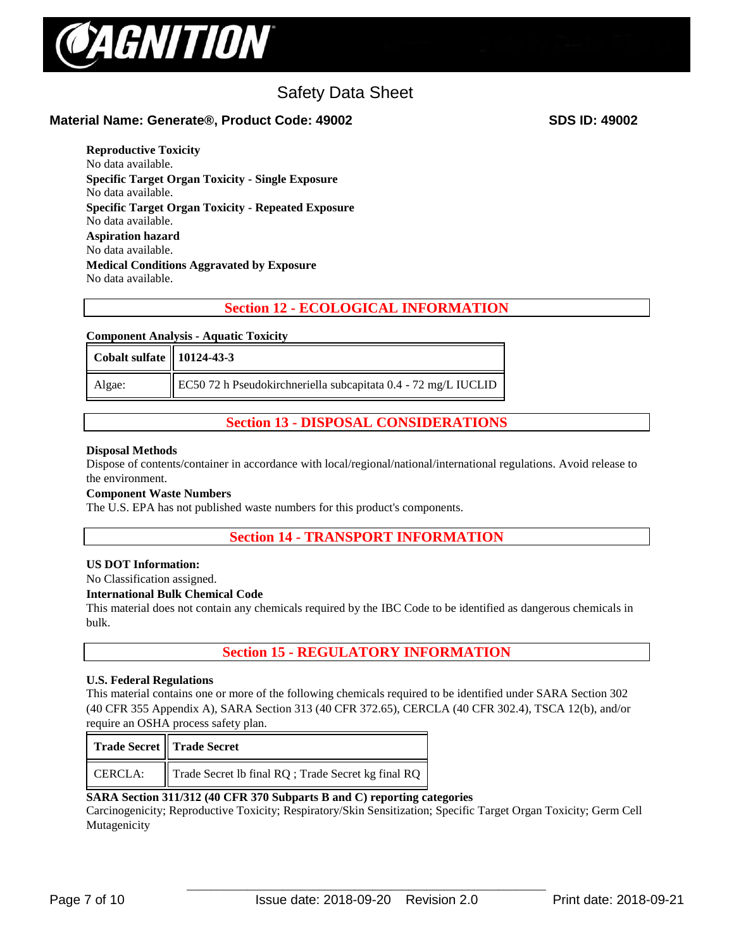

# **Material Name: Generate®, Product Code: 49002 SDS ID: 49002**

**Reproductive Toxicity**  No data available. **Specific Target Organ Toxicity - Single Exposure**  No data available. **Specific Target Organ Toxicity - Repeated Exposure**  No data available. **Aspiration hazard**  No data available. **Medical Conditions Aggravated by Exposure** No data available.

# **Section 12 - ECOLOGICAL INFORMATION**

#### **Component Analysis - Aquatic Toxicity**

| Cobalt sulfate    10124-43-3 |                                                                |
|------------------------------|----------------------------------------------------------------|
| Algae:                       | EC50 72 h Pseudokirchneriella subcapitata 0.4 - 72 mg/L IUCLID |

# **Section 13 - DISPOSAL CONSIDERATIONS**

#### **Disposal Methods**

Dispose of contents/container in accordance with local/regional/national/international regulations. Avoid release to the environment.

#### **Component Waste Numbers**

The U.S. EPA has not published waste numbers for this product's components.

# **Section 14 - TRANSPORT INFORMATION**

#### **US DOT Information:**

No Classification assigned.

#### **International Bulk Chemical Code**

This material does not contain any chemicals required by the IBC Code to be identified as dangerous chemicals in bulk.

# **Section 15 - REGULATORY INFORMATION**

#### **U.S. Federal Regulations**

This material contains one or more of the following chemicals required to be identified under SARA Section 302 (40 CFR 355 Appendix A), SARA Section 313 (40 CFR 372.65), CERCLA (40 CFR 302.4), TSCA 12(b), and/or require an OSHA process safety plan.

|                | <b>Trade Secret    Trade Secret</b>                 |
|----------------|-----------------------------------------------------|
| <b>CERCLA:</b> | Trade Secret Ib final RQ ; Trade Secret kg final RQ |

#### **SARA Section 311/312 (40 CFR 370 Subparts B and C) reporting categories**

Carcinogenicity; Reproductive Toxicity; Respiratory/Skin Sensitization; Specific Target Organ Toxicity; Germ Cell Mutagenicity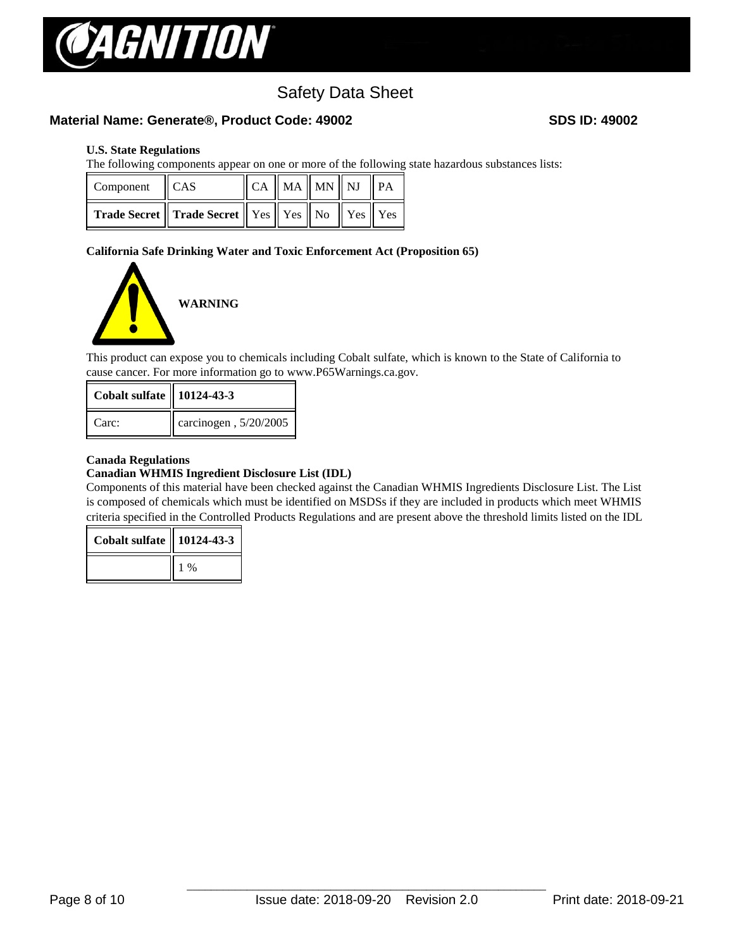

## **Material Name: Generate®, Product Code: 49002 SDS ID: 49002**

#### **U.S. State Regulations**

The following components appear on one or more of the following state hazardous substances lists:

| Component CAS |                                                                    | $\ $ CA $\ $ MA $\ $ MN $\ $ NJ $\ $ PA |  |  |
|---------------|--------------------------------------------------------------------|-----------------------------------------|--|--|
|               | <b>Trade Secret</b> Trade Secret    Yes    Yes    No    Yes    Yes |                                         |  |  |

#### **California Safe Drinking Water and Toxic Enforcement Act (Proposition 65)**



This product can expose you to chemicals including Cobalt sulfate, which is known to the State of California to cause cancer. For more information go to www.P65Warnings.ca.gov.

| <b>Cobalt sulfate   10124-43-3</b> |                       |
|------------------------------------|-----------------------|
| Carc:                              | carcinogen, 5/20/2005 |

#### **Canada Regulations**

#### **Canadian WHMIS Ingredient Disclosure List (IDL)**

Components of this material have been checked against the Canadian WHMIS Ingredients Disclosure List. The List is composed of chemicals which must be identified on MSDSs if they are included in products which meet WHMIS criteria specified in the Controlled Products Regulations and are present above the threshold limits listed on the IDL

| <b>Cobalt sulfate   10124-43-3</b> |       |
|------------------------------------|-------|
|                                    | $1\%$ |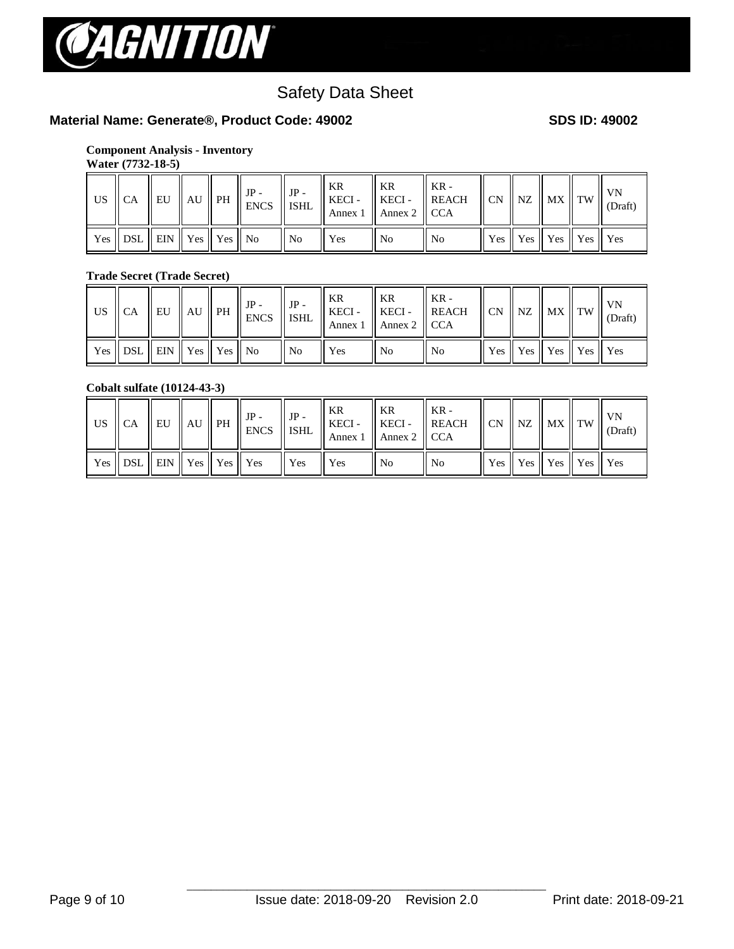

# **Material Name: Generate®, Product Code: 49002 SDS ID: 49002**

#### **Component Analysis - Inventory Water (7732-18-5)**

| Water (7732-18-5) |
|-------------------|
|                   |

| US CA |                                       |  | $IP -$ | $IP -$         | KR<br>$\Box$ A $\parallel$ EU $\parallel$ AU $\parallel$ PH $\parallel$ ENCS $\parallel$ ISHL $\parallel$ ALCA $\parallel$ Annex 2 $\parallel$ CCA | 'I KR | $-KR -$        |  | $\parallel$ CN $\parallel$ NZ $\parallel$ MX $\parallel$ TW | <b>VN</b><br>(Draft) |
|-------|---------------------------------------|--|--------|----------------|----------------------------------------------------------------------------------------------------------------------------------------------------|-------|----------------|--|-------------------------------------------------------------|----------------------|
|       | Yes    DSL    EIN    Yes    Yes    No |  |        | $\parallel$ No | l Yes                                                                                                                                              | ll No | N <sub>o</sub> |  | Yes    Yes    Yes    Yes    Yes                             |                      |

# **Trade Secret (Trade Secret)**

| US | II CA                                                                              | <b>EU</b> | $\parallel$ AU $\parallel$ PH | $JP -$<br><b>ENCS</b> | $JP -$<br>$\parallel$ ISHL | KR<br>$KECI -$ | KR<br>KECI-<br>Annex 1   Annex 2   CCA | $"$ KR -<br><b>REACH</b> | CN NZ | $\parallel$ MX $\parallel$ TW                                                   | <b>VN</b><br>(Draft) |
|----|------------------------------------------------------------------------------------|-----------|-------------------------------|-----------------------|----------------------------|----------------|----------------------------------------|--------------------------|-------|---------------------------------------------------------------------------------|----------------------|
|    | Yes $\parallel$ DSL $\parallel$ EIN $\parallel$ Yes $\parallel$ Yes $\parallel$ No |           |                               |                       | $\parallel$ No             | Yes            | No.                                    | No                       |       | $\parallel$ Yes $\parallel$ Yes $\parallel$ Yes $\parallel$ Yes $\parallel$ Yes |                      |

#### **Cobalt sulfate (10124-43-3)**

| US    CA |                                                |  | $JP -$<br>$\mathbb{R}$ $\mathbb{R}$ $\mathbb{R}$ $\mathbb{R}$ $\mathbb{R}$ $\mathbb{R}$ $\mathbb{R}$ $\mathbb{R}$ $\mathbb{R}$ $\mathbb{R}$ $\mathbb{R}$ $\mathbb{R}$ $\mathbb{R}$ $\mathbb{R}$ $\mathbb{R}$ $\mathbb{R}$ $\mathbb{R}$ $\mathbb{R}$ $\mathbb{R}$ $\mathbb{R}$ $\mathbb{R}$ $\mathbb{R}$ $\mathbb{R}$ $\mathbb{R}$ $\mathbb{$ | $\parallel$ JP - | KR     | KR<br>Annex 1   Annex 2   CCA | $K_{\rm R}$ -<br>$\parallel$ KECI - $\parallel$ KECI - $\parallel$ REACH $\parallel$ CN $\parallel$ NZ $\parallel$ MX $\parallel$ TW |  |                                                                                 | VN<br>(Draft) |
|----------|------------------------------------------------|--|----------------------------------------------------------------------------------------------------------------------------------------------------------------------------------------------------------------------------------------------------------------------------------------------------------------------------------------------|------------------|--------|-------------------------------|--------------------------------------------------------------------------------------------------------------------------------------|--|---------------------------------------------------------------------------------|---------------|
|          | $\gamma$ es    DSL    EIN    Yes    Yes    Yes |  |                                                                                                                                                                                                                                                                                                                                              | <b>Yes</b>       | II Yes | No                            | No                                                                                                                                   |  | $\parallel$ Yes $\parallel$ Yes $\parallel$ Yes $\parallel$ Yes $\parallel$ Yes |               |